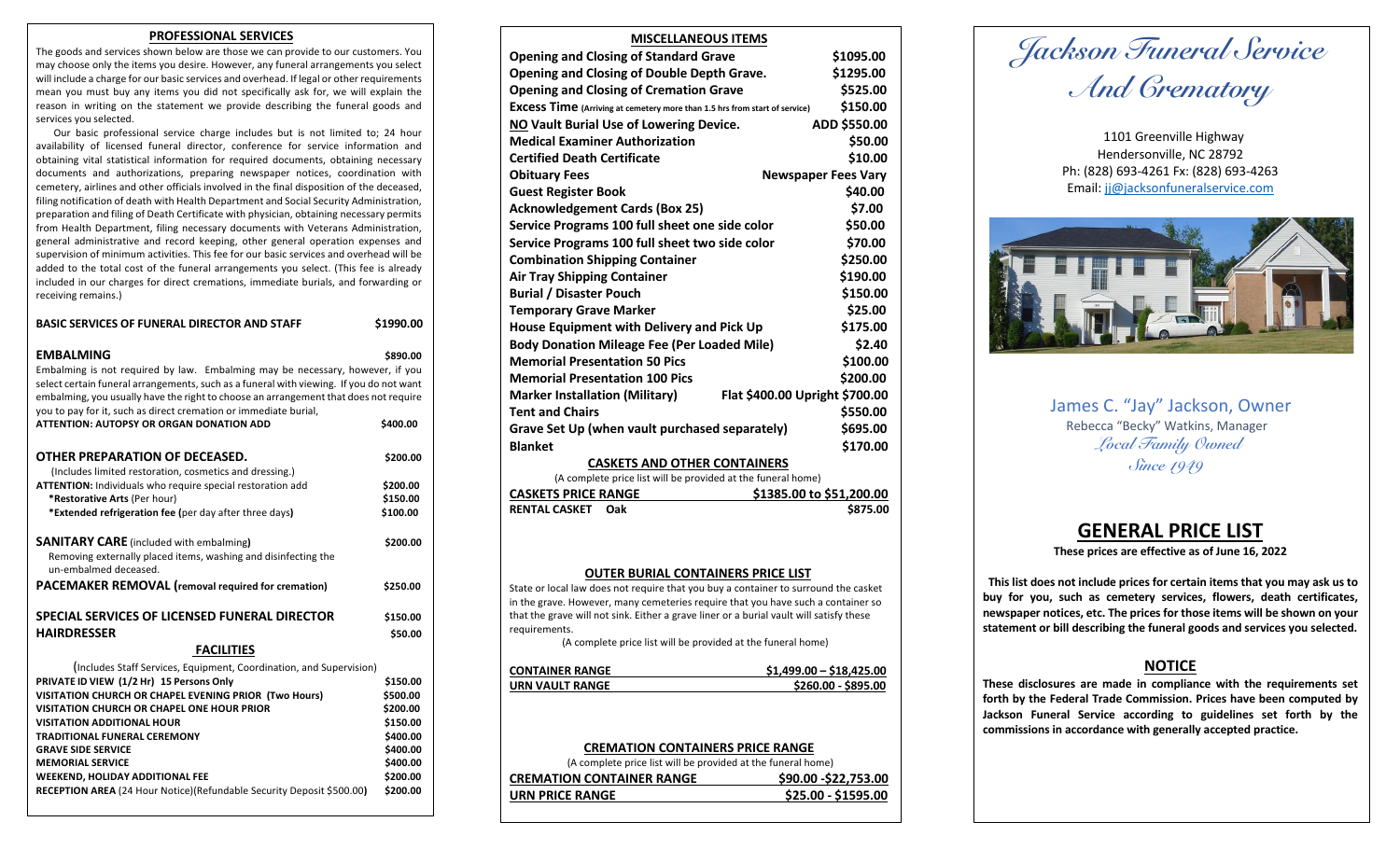## **PROFESSIONAL SERVICES**

The goods and services shown below are those we can provide to our customers. You may choose only the items you desire. However, any funeral arrangements you select will include a charge for our basic services and overhead. If legal or other requirements mean you must buy any items you did not specifically ask for, we will explain the reason in writing on the statement we provide describing the funeral goods and services you selected.

 Our basic professional service charge includes but is not limited to; 24 hour availability of licensed funeral director, conference for service information and obtaining vital statistical information for required documents, obtaining necessary documents and authorizations, preparing newspaper notices, coordination with cemetery, airlines and other officials involved in the final disposition of the deceased, filing notification of death with Health Department and Social Security Administration, preparation and filing of Death Certificate with physician, obtaining necessary permits from Health Department, filing necessary documents with Veterans Administration, general administrative and record keeping, other general operation expenses and supervision of minimum activities. This fee for our basic services and overhead will be added to the total cost of the funeral arrangements you select. (This fee is already included in our charges for direct cremations, immediate burials, and forwarding or receiving remains.)

| <b>BASIC SERVICES OF FUNERAL DIRECTOR AND STAFF</b>                                                                                                                                                                                                                                                                                                                                                                                                                                  | \$1990.00                                                                                                |
|--------------------------------------------------------------------------------------------------------------------------------------------------------------------------------------------------------------------------------------------------------------------------------------------------------------------------------------------------------------------------------------------------------------------------------------------------------------------------------------|----------------------------------------------------------------------------------------------------------|
| <b>EMBALMING</b><br>Embalming is not required by law. Embalming may be necessary, however, if you<br>select certain funeral arrangements, such as a funeral with viewing. If you do not want<br>embalming, you usually have the right to choose an arrangement that does not require<br>you to pay for it, such as direct cremation or immediate burial,<br>ATTENTION: AUTOPSY OR ORGAN DONATION ADD                                                                                 | \$890.00<br>\$400.00                                                                                     |
|                                                                                                                                                                                                                                                                                                                                                                                                                                                                                      |                                                                                                          |
| OTHER PREPARATION OF DECEASED.<br>(Includes limited restoration, cosmetics and dressing.)<br><b>ATTENTION:</b> Individuals who require special restoration add<br>*Restorative Arts (Per hour)<br>*Extended refrigeration fee (per day after three days)                                                                                                                                                                                                                             | \$200.00<br>\$200.00<br>\$150.00<br>\$100.00                                                             |
| <b>SANITARY CARE</b> (included with embalming)<br>Removing externally placed items, washing and disinfecting the<br>un-embalmed deceased.<br><b>PACEMAKER REMOVAL</b> (removal required for cremation)                                                                                                                                                                                                                                                                               | \$200.00<br>\$250.00                                                                                     |
|                                                                                                                                                                                                                                                                                                                                                                                                                                                                                      |                                                                                                          |
| SPECIAL SERVICES OF LICENSED FUNERAL DIRECTOR<br><b>HAIRDRESSER</b>                                                                                                                                                                                                                                                                                                                                                                                                                  | \$150.00<br>\$50.00                                                                                      |
| <b>FACILITIES</b>                                                                                                                                                                                                                                                                                                                                                                                                                                                                    |                                                                                                          |
| (Includes Staff Services, Equipment, Coordination, and Supervision)<br>PRIVATE ID VIEW (1/2 Hr) 15 Persons Only<br>VISITATION CHURCH OR CHAPEL EVENING PRIOR (Two Hours)<br><b>VISITATION CHURCH OR CHAPEL ONE HOUR PRIOR</b><br><b>VISITATION ADDITIONAL HOUR</b><br><b>TRADITIONAL FUNERAL CEREMONY</b><br><b>GRAVE SIDE SERVICE</b><br><b>MEMORIAL SERVICE</b><br><b>WEEKEND, HOLIDAY ADDITIONAL FEE</b><br>RECEPTION AREA (24 Hour Notice)(Refundable Security Deposit \$500.00) | \$150.00<br>\$500.00<br>\$200.00<br>\$150.00<br>\$400.00<br>\$400.00<br>\$400.00<br>\$200.00<br>\$200.00 |

| <b>MISCELLANEOUS ITEMS</b>                                                              |                            |
|-----------------------------------------------------------------------------------------|----------------------------|
| <b>Opening and Closing of Standard Grave</b>                                            | \$1095.00                  |
| Opening and Closing of Double Depth Grave.                                              | \$1295.00                  |
| <b>Opening and Closing of Cremation Grave</b>                                           | \$525.00                   |
| <b>Excess Time</b> (Arriving at cemetery more than 1.5 hrs from start of service)       | \$150.00                   |
| NO Vault Burial Use of Lowering Device.                                                 | ADD \$550.00               |
| <b>Medical Examiner Authorization</b>                                                   | \$50.00                    |
| <b>Certified Death Certificate</b>                                                      | \$10.00                    |
| <b>Obituary Fees</b>                                                                    | <b>Newspaper Fees Vary</b> |
| <b>Guest Register Book</b>                                                              | \$40.00                    |
| <b>Acknowledgement Cards (Box 25)</b>                                                   | \$7.00                     |
| Service Programs 100 full sheet one side color                                          | \$50.00                    |
| Service Programs 100 full sheet two side color                                          | \$70.00                    |
| <b>Combination Shipping Container</b>                                                   | \$250.00                   |
| <b>Air Tray Shipping Container</b>                                                      | \$190.00                   |
| <b>Burial / Disaster Pouch</b>                                                          | \$150.00                   |
| Temporary Grave Marker                                                                  | \$25.00                    |
| House Equipment with Delivery and Pick Up                                               | \$175.00                   |
| <b>Body Donation Mileage Fee (Per Loaded Mile)</b>                                      | \$2.40                     |
| <b>Memorial Presentation 50 Pics</b>                                                    | \$100.00                   |
| <b>Memorial Presentation 100 Pics</b>                                                   | \$200.00                   |
| Flat \$400.00 Upright \$700.00<br><b>Marker Installation (Military)</b>                 |                            |
| <b>Tent and Chairs</b>                                                                  | \$550.00                   |
| Grave Set Up (when vault purchased separately)                                          | \$695.00                   |
| <b>Blanket</b>                                                                          | \$170.00                   |
| <b>CASKETS AND OTHER CONTAINERS</b>                                                     |                            |
| (A complete price list will be provided at the funeral home)                            |                            |
| <b>CASKETS PRICE RANGE</b>                                                              | \$1385.00 to \$51,200.00   |
| <b>RENTAL CASKET</b><br>Oak                                                             | \$875.00                   |
|                                                                                         |                            |
|                                                                                         |                            |
| <b>OUTER BURIAL CONTAINERS PRICE LIST</b>                                               |                            |
| State or local law does not require that you buy a container to surround the casket     |                            |
| in the grave. However, many cemeteries require that you have such a container so        |                            |
| that the grave will not sink. Either a grave liner or a burial vault will satisfy these |                            |
| requirements.<br>(A complete price list will be provided at the funeral home)           |                            |
|                                                                                         |                            |
| <b>CONTAINER RANGE</b>                                                                  | \$1,499.00 - \$18,425.00   |
| <b>URN VAULT RANGE</b>                                                                  | \$260.00 - \$895.00        |
|                                                                                         |                            |

# **CREMATION CONTAINERS PRICE RANGE**

(A complete price list will be provided at the funeral home)

| <b>CREMATION CONTAINER RANGE</b> | \$90.00 - \$22,753.00 |
|----------------------------------|-----------------------|
| URN PRICE RANGE                  | \$25.00 - \$1595.00   |
|                                  |                       |

 *Jackson Funeral Service And Crematory* 

1101 Greenville Highway Hendersonville, NC 28792 Ph: (828) 693-4261 Fx: (828) 693-4263 Email: jj@jacksonfuneralservice.com



**James C. "Jay" Jackson, Owner Rebecca "Becky" Watkins, Manager** *Local Family Owned Since 1949*

# **GENERAL PRICE LIST**

**These prices are effective as of June 16, 2022**

 **This list does not include prices for certain items that you may ask us to buy for you, such as cemetery services, flowers, death certificates, newspaper notices, etc. The prices for those items will be shown on your statement or bill describing the funeral goods and services you selected.**

# **NOTICE**

**These disclosures are made in compliance with the requirements set forth by the Federal Trade Commission. Prices have been computed by Jackson Funeral Service according to guidelines set forth by the commissions in accordance with generally accepted practice.**